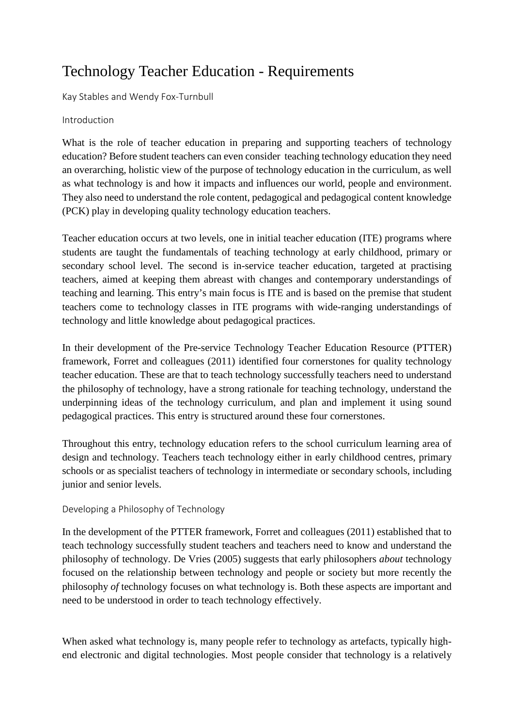# Technology Teacher Education - Requirements

Kay Stables and Wendy Fox-Turnbull

## Introduction

What is the role of teacher education in preparing and supporting teachers of technology education? Before student teachers can even consider teaching technology education they need an overarching, holistic view of the purpose of technology education in the curriculum, as well as what technology is and how it impacts and influences our world, people and environment. They also need to understand the role content, pedagogical and pedagogical content knowledge (PCK) play in developing quality technology education teachers.

Teacher education occurs at two levels, one in initial teacher education (ITE) programs where students are taught the fundamentals of teaching technology at early childhood, primary or secondary school level. The second is in-service teacher education, targeted at practising teachers, aimed at keeping them abreast with changes and contemporary understandings of teaching and learning. This entry's main focus is ITE and is based on the premise that student teachers come to technology classes in ITE programs with wide-ranging understandings of technology and little knowledge about pedagogical practices.

In their development of the Pre-service Technology Teacher Education Resource (PTTER) framework, Forret and colleagues (2011) identified four cornerstones for quality technology teacher education. These are that to teach technology successfully teachers need to understand the philosophy of technology, have a strong rationale for teaching technology, understand the underpinning ideas of the technology curriculum, and plan and implement it using sound pedagogical practices. This entry is structured around these four cornerstones.

Throughout this entry, technology education refers to the school curriculum learning area of design and technology. Teachers teach technology either in early childhood centres, primary schools or as specialist teachers of technology in intermediate or secondary schools, including junior and senior levels.

## Developing a Philosophy of Technology

In the development of the PTTER framework, Forret and colleagues (2011) established that to teach technology successfully student teachers and teachers need to know and understand the philosophy of technology. De Vries (2005) suggests that early philosophers *about* technology focused on the relationship between technology and people or society but more recently the philosophy *of* technology focuses on what technology is. Both these aspects are important and need to be understood in order to teach technology effectively.

When asked what technology is, many people refer to technology as artefacts, typically highend electronic and digital technologies. Most people consider that technology is a relatively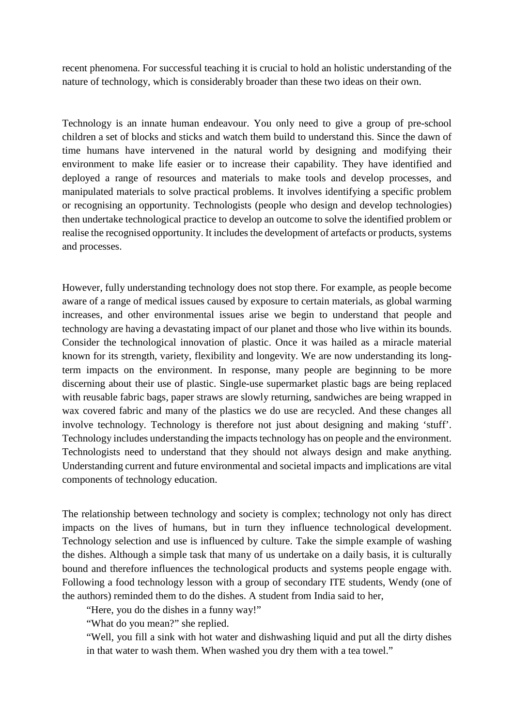recent phenomena. For successful teaching it is crucial to hold an holistic understanding of the nature of technology, which is considerably broader than these two ideas on their own.

Technology is an innate human endeavour. You only need to give a group of pre-school children a set of blocks and sticks and watch them build to understand this. Since the dawn of time humans have intervened in the natural world by designing and modifying their environment to make life easier or to increase their capability. They have identified and deployed a range of resources and materials to make tools and develop processes, and manipulated materials to solve practical problems. It involves identifying a specific problem or recognising an opportunity. Technologists (people who design and develop technologies) then undertake technological practice to develop an outcome to solve the identified problem or realise the recognised opportunity. It includes the development of artefacts or products, systems and processes.

However, fully understanding technology does not stop there. For example, as people become aware of a range of medical issues caused by exposure to certain materials, as global warming increases, and other environmental issues arise we begin to understand that people and technology are having a devastating impact of our planet and those who live within its bounds. Consider the technological innovation of plastic. Once it was hailed as a miracle material known for its strength, variety, flexibility and longevity. We are now understanding its longterm impacts on the environment. In response, many people are beginning to be more discerning about their use of plastic. Single-use supermarket plastic bags are being replaced with reusable fabric bags, paper straws are slowly returning, sandwiches are being wrapped in wax covered fabric and many of the plastics we do use are recycled. And these changes all involve technology. Technology is therefore not just about designing and making 'stuff'. Technology includes understanding the impacts technology has on people and the environment. Technologists need to understand that they should not always design and make anything. Understanding current and future environmental and societal impacts and implications are vital components of technology education.

The relationship between technology and society is complex; technology not only has direct impacts on the lives of humans, but in turn they influence technological development. Technology selection and use is influenced by culture. Take the simple example of washing the dishes. Although a simple task that many of us undertake on a daily basis, it is culturally bound and therefore influences the technological products and systems people engage with. Following a food technology lesson with a group of secondary ITE students, Wendy (one of the authors) reminded them to do the dishes. A student from India said to her,

"Here, you do the dishes in a funny way!"

"What do you mean?" she replied.

"Well, you fill a sink with hot water and dishwashing liquid and put all the dirty dishes in that water to wash them. When washed you dry them with a tea towel."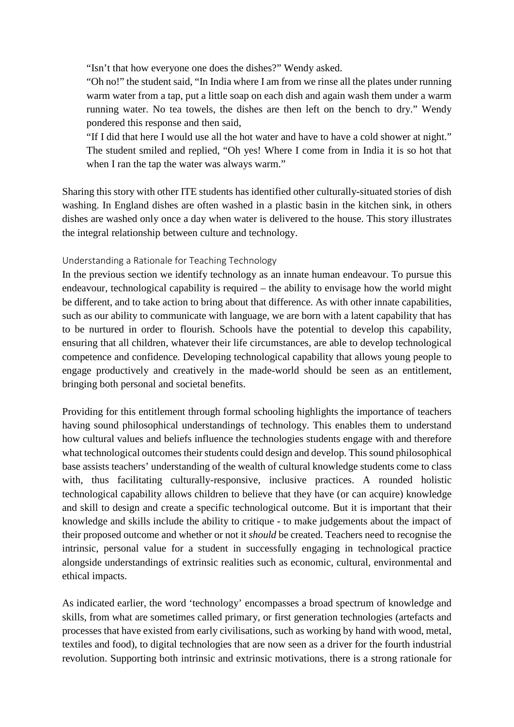"Isn't that how everyone one does the dishes?" Wendy asked.

"Oh no!" the student said, "In India where I am from we rinse all the plates under running warm water from a tap, put a little soap on each dish and again wash them under a warm running water. No tea towels, the dishes are then left on the bench to dry." Wendy pondered this response and then said,

"If I did that here I would use all the hot water and have to have a cold shower at night." The student smiled and replied, "Oh yes! Where I come from in India it is so hot that when I ran the tap the water was always warm."

Sharing this story with other ITE students has identified other culturally-situated stories of dish washing. In England dishes are often washed in a plastic basin in the kitchen sink, in others dishes are washed only once a day when water is delivered to the house. This story illustrates the integral relationship between culture and technology.

Understanding a Rationale for Teaching Technology

In the previous section we identify technology as an innate human endeavour. To pursue this endeavour, technological capability is required – the ability to envisage how the world might be different, and to take action to bring about that difference. As with other innate capabilities, such as our ability to communicate with language, we are born with a latent capability that has to be nurtured in order to flourish. Schools have the potential to develop this capability, ensuring that all children, whatever their life circumstances, are able to develop technological competence and confidence. Developing technological capability that allows young people to engage productively and creatively in the made-world should be seen as an entitlement, bringing both personal and societal benefits.

Providing for this entitlement through formal schooling highlights the importance of teachers having sound philosophical understandings of technology. This enables them to understand how cultural values and beliefs influence the technologies students engage with and therefore what technological outcomes their students could design and develop. This sound philosophical base assists teachers' understanding of the wealth of cultural knowledge students come to class with, thus facilitating culturally-responsive, inclusive practices. A rounded holistic technological capability allows children to believe that they have (or can acquire) knowledge and skill to design and create a specific technological outcome. But it is important that their knowledge and skills include the ability to critique - to make judgements about the impact of their proposed outcome and whether or not it *should* be created. Teachers need to recognise the intrinsic, personal value for a student in successfully engaging in technological practice alongside understandings of extrinsic realities such as economic, cultural, environmental and ethical impacts.

As indicated earlier, the word 'technology' encompasses a broad spectrum of knowledge and skills, from what are sometimes called primary, or first generation technologies (artefacts and processes that have existed from early civilisations, such as working by hand with wood, metal, textiles and food), to digital technologies that are now seen as a driver for the fourth industrial revolution. Supporting both intrinsic and extrinsic motivations, there is a strong rationale for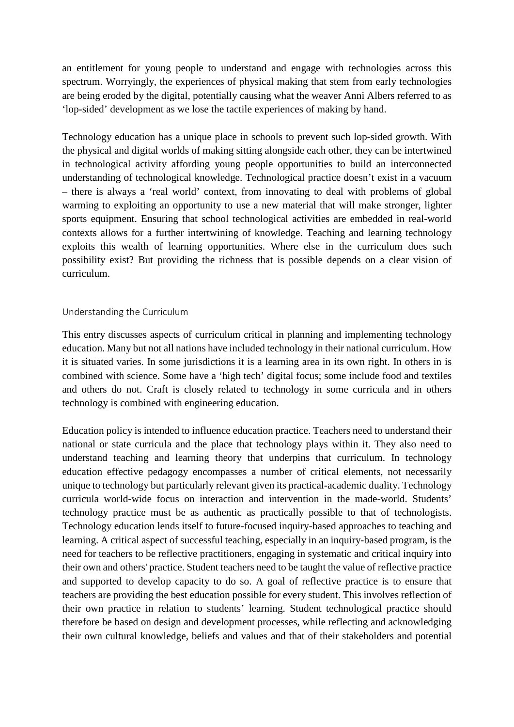an entitlement for young people to understand and engage with technologies across this spectrum. Worryingly, the experiences of physical making that stem from early technologies are being eroded by the digital, potentially causing what the weaver Anni Albers referred to as 'lop-sided' development as we lose the tactile experiences of making by hand.

Technology education has a unique place in schools to prevent such lop-sided growth. With the physical and digital worlds of making sitting alongside each other, they can be intertwined in technological activity affording young people opportunities to build an interconnected understanding of technological knowledge. Technological practice doesn't exist in a vacuum – there is always a 'real world' context, from innovating to deal with problems of global warming to exploiting an opportunity to use a new material that will make stronger, lighter sports equipment. Ensuring that school technological activities are embedded in real-world contexts allows for a further intertwining of knowledge. Teaching and learning technology exploits this wealth of learning opportunities. Where else in the curriculum does such possibility exist? But providing the richness that is possible depends on a clear vision of curriculum.

### Understanding the Curriculum

This entry discusses aspects of curriculum critical in planning and implementing technology education. Many but not all nations have included technology in their national curriculum. How it is situated varies. In some jurisdictions it is a learning area in its own right. In others in is combined with science. Some have a 'high tech' digital focus; some include food and textiles and others do not. Craft is closely related to technology in some curricula and in others technology is combined with engineering education.

Education policy is intended to influence education practice. Teachers need to understand their national or state curricula and the place that technology plays within it. They also need to understand teaching and learning theory that underpins that curriculum. In technology education effective pedagogy encompasses a number of critical elements, not necessarily unique to technology but particularly relevant given its practical-academic duality. Technology curricula world-wide focus on interaction and intervention in the made-world. Students' technology practice must be as authentic as practically possible to that of technologists. Technology education lends itself to future-focused inquiry-based approaches to teaching and learning. A critical aspect of successful teaching, especially in an inquiry-based program, is the need for teachers to be reflective practitioners, engaging in systematic and critical inquiry into their own and others' practice. Student teachers need to be taught the value of reflective practice and supported to develop capacity to do so. A goal of reflective practice is to ensure that teachers are providing the best education possible for every student. This involves reflection of their own practice in relation to students' learning. Student technological practice should therefore be based on design and development processes, while reflecting and acknowledging their own cultural knowledge, beliefs and values and that of their stakeholders and potential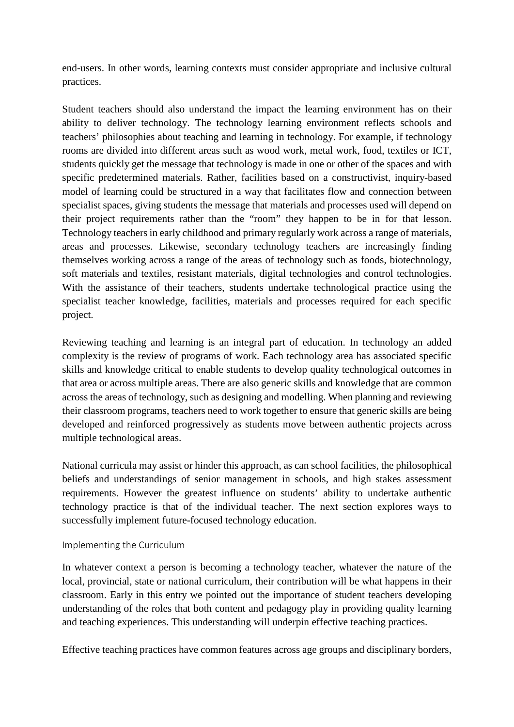end-users. In other words, learning contexts must consider appropriate and inclusive cultural practices.

Student teachers should also understand the impact the learning environment has on their ability to deliver technology. The technology learning environment reflects schools and teachers' philosophies about teaching and learning in technology. For example, if technology rooms are divided into different areas such as wood work, metal work, food, textiles or ICT, students quickly get the message that technology is made in one or other of the spaces and with specific predetermined materials. Rather, facilities based on a constructivist, inquiry-based model of learning could be structured in a way that facilitates flow and connection between specialist spaces, giving students the message that materials and processes used will depend on their project requirements rather than the "room" they happen to be in for that lesson. Technology teachers in early childhood and primary regularly work across a range of materials, areas and processes. Likewise, secondary technology teachers are increasingly finding themselves working across a range of the areas of technology such as foods, biotechnology, soft materials and textiles, resistant materials, digital technologies and control technologies. With the assistance of their teachers, students undertake technological practice using the specialist teacher knowledge, facilities, materials and processes required for each specific project.

Reviewing teaching and learning is an integral part of education. In technology an added complexity is the review of programs of work. Each technology area has associated specific skills and knowledge critical to enable students to develop quality technological outcomes in that area or across multiple areas. There are also generic skills and knowledge that are common across the areas of technology, such as designing and modelling. When planning and reviewing their classroom programs, teachers need to work together to ensure that generic skills are being developed and reinforced progressively as students move between authentic projects across multiple technological areas.

National curricula may assist or hinder this approach, as can school facilities, the philosophical beliefs and understandings of senior management in schools, and high stakes assessment requirements. However the greatest influence on students' ability to undertake authentic technology practice is that of the individual teacher. The next section explores ways to successfully implement future-focused technology education.

#### Implementing the Curriculum

In whatever context a person is becoming a technology teacher, whatever the nature of the local, provincial, state or national curriculum, their contribution will be what happens in their classroom. Early in this entry we pointed out the importance of student teachers developing understanding of the roles that both content and pedagogy play in providing quality learning and teaching experiences. This understanding will underpin effective teaching practices.

Effective teaching practices have common features across age groups and disciplinary borders,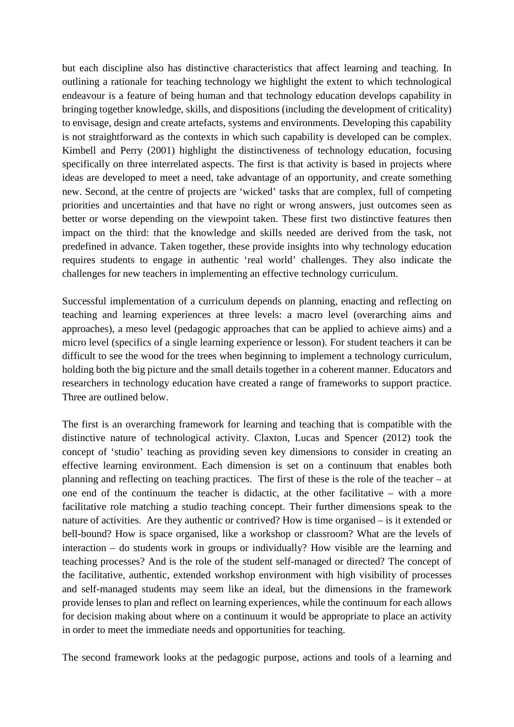but each discipline also has distinctive characteristics that affect learning and teaching. In outlining a rationale for teaching technology we highlight the extent to which technological endeavour is a feature of being human and that technology education develops capability in bringing together knowledge, skills, and dispositions (including the development of criticality) to envisage, design and create artefacts, systems and environments. Developing this capability is not straightforward as the contexts in which such capability is developed can be complex. Kimbell and Perry (2001) highlight the distinctiveness of technology education, focusing specifically on three interrelated aspects. The first is that activity is based in projects where ideas are developed to meet a need, take advantage of an opportunity, and create something new. Second, at the centre of projects are 'wicked' tasks that are complex, full of competing priorities and uncertainties and that have no right or wrong answers, just outcomes seen as better or worse depending on the viewpoint taken. These first two distinctive features then impact on the third: that the knowledge and skills needed are derived from the task, not predefined in advance. Taken together, these provide insights into why technology education requires students to engage in authentic 'real world' challenges. They also indicate the challenges for new teachers in implementing an effective technology curriculum.

Successful implementation of a curriculum depends on planning, enacting and reflecting on teaching and learning experiences at three levels: a macro level (overarching aims and approaches), a meso level (pedagogic approaches that can be applied to achieve aims) and a micro level (specifics of a single learning experience or lesson). For student teachers it can be difficult to see the wood for the trees when beginning to implement a technology curriculum, holding both the big picture and the small details together in a coherent manner. Educators and researchers in technology education have created a range of frameworks to support practice. Three are outlined below.

The first is an overarching framework for learning and teaching that is compatible with the distinctive nature of technological activity. Claxton, Lucas and Spencer (2012) took the concept of 'studio' teaching as providing seven key dimensions to consider in creating an effective learning environment. Each dimension is set on a continuum that enables both planning and reflecting on teaching practices. The first of these is the role of the teacher – at one end of the continuum the teacher is didactic, at the other facilitative – with a more facilitative role matching a studio teaching concept. Their further dimensions speak to the nature of activities. Are they authentic or contrived? How is time organised – is it extended or bell-bound? How is space organised, like a workshop or classroom? What are the levels of interaction – do students work in groups or individually? How visible are the learning and teaching processes? And is the role of the student self-managed or directed? The concept of the facilitative, authentic, extended workshop environment with high visibility of processes and self-managed students may seem like an ideal, but the dimensions in the framework provide lenses to plan and reflect on learning experiences, while the continuum for each allows for decision making about where on a continuum it would be appropriate to place an activity in order to meet the immediate needs and opportunities for teaching.

The second framework looks at the pedagogic purpose, actions and tools of a learning and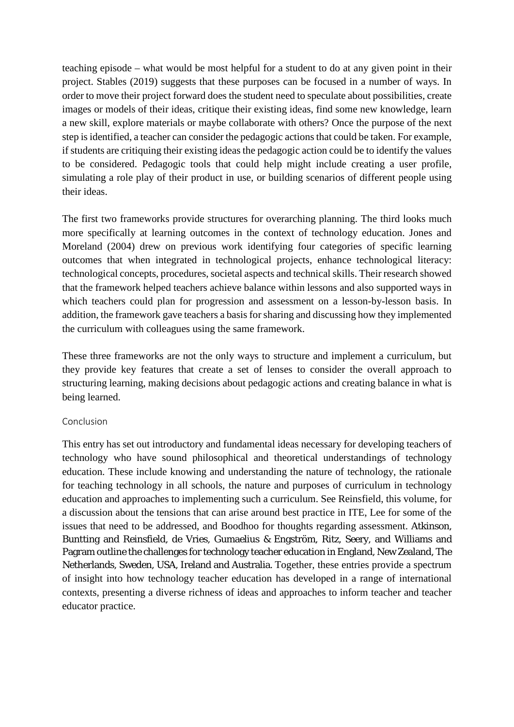teaching episode – what would be most helpful for a student to do at any given point in their project. Stables (2019) suggests that these purposes can be focused in a number of ways. In order to move their project forward does the student need to speculate about possibilities, create images or models of their ideas, critique their existing ideas, find some new knowledge, learn a new skill, explore materials or maybe collaborate with others? Once the purpose of the next step is identified, a teacher can consider the pedagogic actions that could be taken. For example, if students are critiquing their existing ideas the pedagogic action could be to identify the values to be considered. Pedagogic tools that could help might include creating a user profile, simulating a role play of their product in use, or building scenarios of different people using their ideas.

The first two frameworks provide structures for overarching planning. The third looks much more specifically at learning outcomes in the context of technology education. Jones and Moreland (2004) drew on previous work identifying four categories of specific learning outcomes that when integrated in technological projects, enhance technological literacy: technological concepts, procedures, societal aspects and technical skills. Their research showed that the framework helped teachers achieve balance within lessons and also supported ways in which teachers could plan for progression and assessment on a lesson-by-lesson basis. In addition, the framework gave teachers a basis for sharing and discussing how they implemented the curriculum with colleagues using the same framework.

These three frameworks are not the only ways to structure and implement a curriculum, but they provide key features that create a set of lenses to consider the overall approach to structuring learning, making decisions about pedagogic actions and creating balance in what is being learned.

### Conclusion

This entry has set out introductory and fundamental ideas necessary for developing teachers of technology who have sound philosophical and theoretical understandings of technology education. These include knowing and understanding the nature of technology, the rationale for teaching technology in all schools, the nature and purposes of curriculum in technology education and approaches to implementing such a curriculum. See Reinsfield, this volume, for a discussion about the tensions that can arise around best practice in ITE, Lee for some of the issues that need to be addressed, and Boodhoo for thoughts regarding assessment. Atkinson, Buntting and Reinsfield, de Vries, Gumaelius & Engström, Ritz, Seery, and Williams and Pagram outline the challenges for technology teacher education in England, New Zealand, The Netherlands, Sweden, USA, Ireland and Australia. Together, these entries provide a spectrum of insight into how technology teacher education has developed in a range of international contexts, presenting a diverse richness of ideas and approaches to inform teacher and teacher educator practice.